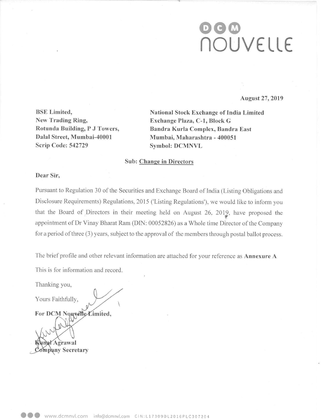# 060 flOUVELLE

August 27, 2019

New Trading Ring, Exchange Plaza, C-1, Block G Dalal Street, Mumbai-40001 Scrip Code: 542729 Symbol: DCMNVL

BSE Limited, National Stock Exchange of India Limited Rotunda Building, P J Towers, Bandra Kurla Complex, Bandra East Mumbai, Maharashtra - 400051

## Sub: Change in Directors

## Dear Sir,

Pursuant to Regulation 30 of the Securities and Exchange Board of India (Listing Obligations and Disclosure Requirements) Regulations, <sup>2015</sup> ('Listing Regulations), we would like to inform you that the Board of Directors in their meeting held on August 26, 2012, have proposed the appointment of Dr Vinay Bharat Ram (DIN: 00052826) as a Whole time Director of the Company for a period of three (3) years, subject to the approval of the members through postal ballot process.

The brief profile and other relevant information are attached for your reference as Annexure A

This is for information and record.

Thanking you,

Yours Faithfully,

For DCM Nouvelle Limited,

Agrawal ompany Secretary